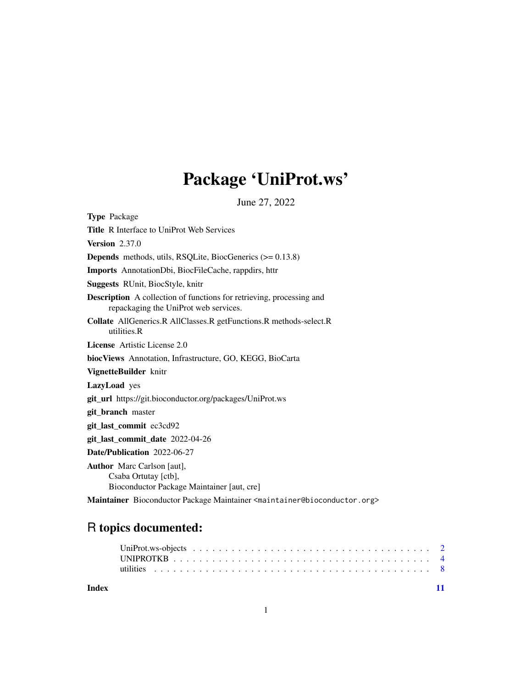## Package 'UniProt.ws'

June 27, 2022

Type Package Title R Interface to UniProt Web Services Version 2.37.0 Depends methods, utils, RSQLite, BiocGenerics (>= 0.13.8) Imports AnnotationDbi, BiocFileCache, rappdirs, httr Suggests RUnit, BiocStyle, knitr Description A collection of functions for retrieving, processing and repackaging the UniProt web services. Collate AllGenerics.R AllClasses.R getFunctions.R methods-select.R utilities.R License Artistic License 2.0 biocViews Annotation, Infrastructure, GO, KEGG, BioCarta VignetteBuilder knitr LazyLoad yes git\_url https://git.bioconductor.org/packages/UniProt.ws git branch master git\_last\_commit ec3cd92 git\_last\_commit\_date 2022-04-26 Date/Publication 2022-06-27 Author Marc Carlson [aut], Csaba Ortutay [ctb], Bioconductor Package Maintainer [aut, cre]

Maintainer Bioconductor Package Maintainer <maintainer@bioconductor.org>

## R topics documented:

| Index |  |  |  |  |  |  |  |  |  |  |  |  |  |  |  |  |  |  |
|-------|--|--|--|--|--|--|--|--|--|--|--|--|--|--|--|--|--|--|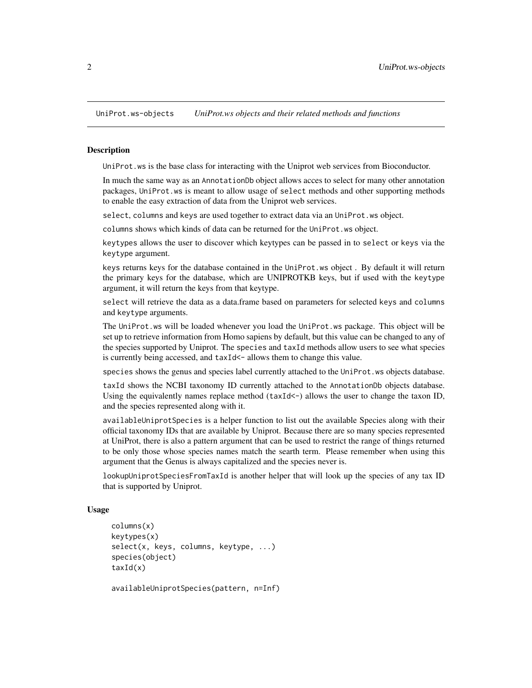<span id="page-1-0"></span>UniProt.ws-objects *UniProt.ws objects and their related methods and functions*

#### Description

UniProt.ws is the base class for interacting with the Uniprot web services from Bioconductor.

In much the same way as an AnnotationDb object allows acces to select for many other annotation packages, UniProt.ws is meant to allow usage of select methods and other supporting methods to enable the easy extraction of data from the Uniprot web services.

select, columns and keys are used together to extract data via an UniProt.ws object.

columns shows which kinds of data can be returned for the UniProt.ws object.

keytypes allows the user to discover which keytypes can be passed in to select or keys via the keytype argument.

keys returns keys for the database contained in the UniProt.ws object . By default it will return the primary keys for the database, which are UNIPROTKB keys, but if used with the keytype argument, it will return the keys from that keytype.

select will retrieve the data as a data.frame based on parameters for selected keys and columns and keytype arguments.

The UniProt.ws will be loaded whenever you load the UniProt.ws package. This object will be set up to retrieve information from Homo sapiens by default, but this value can be changed to any of the species supported by Uniprot. The species and taxId methods allow users to see what species is currently being accessed, and taxId<- allows them to change this value.

species shows the genus and species label currently attached to the UniProt.ws objects database.

taxId shows the NCBI taxonomy ID currently attached to the AnnotationDb objects database. Using the equivalently names replace method (taxId<-) allows the user to change the taxon ID, and the species represented along with it.

availableUniprotSpecies is a helper function to list out the available Species along with their official taxonomy IDs that are available by Uniprot. Because there are so many species represented at UniProt, there is also a pattern argument that can be used to restrict the range of things returned to be only those whose species names match the searth term. Please remember when using this argument that the Genus is always capitalized and the species never is.

lookupUniprotSpeciesFromTaxId is another helper that will look up the species of any tax ID that is supported by Uniprot.

#### Usage

```
columns(x)
keytypes(x)
select(x, keys, columns, keytype, ...)
species(object)
taxId(x)
```
availableUniprotSpecies(pattern, n=Inf)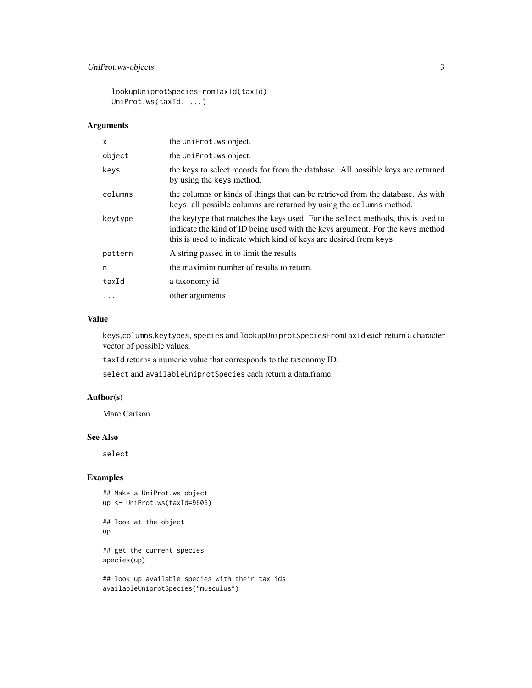### UniProt.ws-objects 3

lookupUniprotSpeciesFromTaxId(taxId) UniProt.ws(taxId, ...)

#### Arguments

| X       | the UniProt. ws object.                                                                                                                                                                                                                |
|---------|----------------------------------------------------------------------------------------------------------------------------------------------------------------------------------------------------------------------------------------|
| object  | the UniProt. ws object.                                                                                                                                                                                                                |
| keys    | the keys to select records for from the database. All possible keys are returned<br>by using the keys method.                                                                                                                          |
| columns | the columns or kinds of things that can be retrieved from the database. As with<br>keys, all possible columns are returned by using the columns method.                                                                                |
| keytype | the keytype that matches the keys used. For the select methods, this is used to<br>indicate the kind of ID being used with the keys argument. For the keys method<br>this is used to indicate which kind of keys are desired from keys |
| pattern | A string passed in to limit the results                                                                                                                                                                                                |
| n       | the maximim number of results to return.                                                                                                                                                                                               |
| taxId   | a taxonomy id                                                                                                                                                                                                                          |
|         | other arguments                                                                                                                                                                                                                        |

### Value

keys,columns,keytypes, species and lookupUniprotSpeciesFromTaxId each return a character vector of possible values.

taxId returns a numeric value that corresponds to the taxonomy ID.

select and availableUniprotSpecies each return a data.frame.

### Author(s)

Marc Carlson

#### See Also

select

### Examples

## Make a UniProt.ws object up <- UniProt.ws(taxId=9606) ## look at the object up ## get the current species species(up) ## look up available species with their tax ids

availableUniprotSpecies("musculus")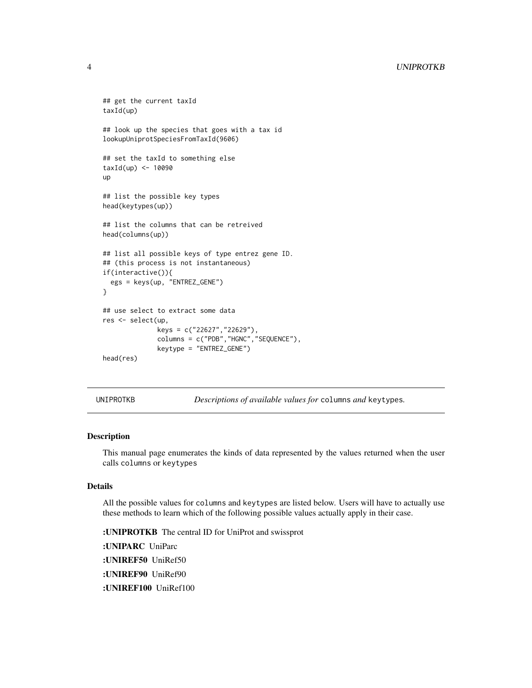```
## get the current taxId
taxId(up)
## look up the species that goes with a tax id
lookupUniprotSpeciesFromTaxId(9606)
## set the taxId to something else
taxId(up) < -10090up
## list the possible key types
head(keytypes(up))
## list the columns that can be retreived
head(columns(up))
## list all possible keys of type entrez gene ID.
## (this process is not instantaneous)
if(interactive()){
 egs = keys(up, "ENTREZ_GENE")
}
## use select to extract some data
res <- select(up,
              keys = c("22627","22629"),
              columns = c("PDB","HGNC","SEQUENCE"),
              keytype = "ENTREZ_GENE")
head(res)
```
UNIPROTKB *Descriptions of available values for* columns *and* keytypes*.*

### Description

This manual page enumerates the kinds of data represented by the values returned when the user calls columns or keytypes

#### Details

All the possible values for columns and keytypes are listed below. Users will have to actually use these methods to learn which of the following possible values actually apply in their case.

:UNIPROTKB The central ID for UniProt and swissprot :UNIPARC UniParc :UNIREF50 UniRef50 :UNIREF90 UniRef90 :UNIREF100 UniRef100

<span id="page-3-0"></span>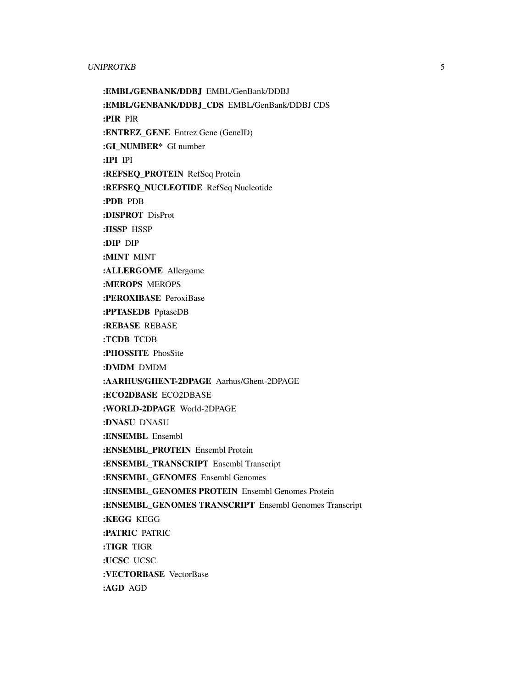#### UNIPROTKB 5

:EMBL/GENBANK/DDBJ EMBL/GenBank/DDBJ :EMBL/GENBANK/DDBJ\_CDS EMBL/GenBank/DDBJ CDS :PIR PIR :ENTREZ\_GENE Entrez Gene (GeneID) :GI\_NUMBER\* GI number :IPI IPI :REFSEQ\_PROTEIN RefSeq Protein :REFSEQ\_NUCLEOTIDE RefSeq Nucleotide :PDB PDB :DISPROT DisProt :HSSP HSSP :DIP DIP :MINT MINT :ALLERGOME Allergome :MEROPS MEROPS :PEROXIBASE PeroxiBase :PPTASEDB PptaseDB :REBASE REBASE :TCDB TCDB :PHOSSITE PhosSite :DMDM DMDM :AARHUS/GHENT-2DPAGE Aarhus/Ghent-2DPAGE :ECO2DBASE ECO2DBASE :WORLD-2DPAGE World-2DPAGE :DNASU DNASU :ENSEMBL Ensembl :ENSEMBL\_PROTEIN Ensembl Protein :ENSEMBL\_TRANSCRIPT Ensembl Transcript :ENSEMBL\_GENOMES Ensembl Genomes :ENSEMBL\_GENOMES PROTEIN Ensembl Genomes Protein :ENSEMBL\_GENOMES TRANSCRIPT Ensembl Genomes Transcript :KEGG KEGG :PATRIC PATRIC :TIGR TIGR :UCSC UCSC :VECTORBASE VectorBase :AGD AGD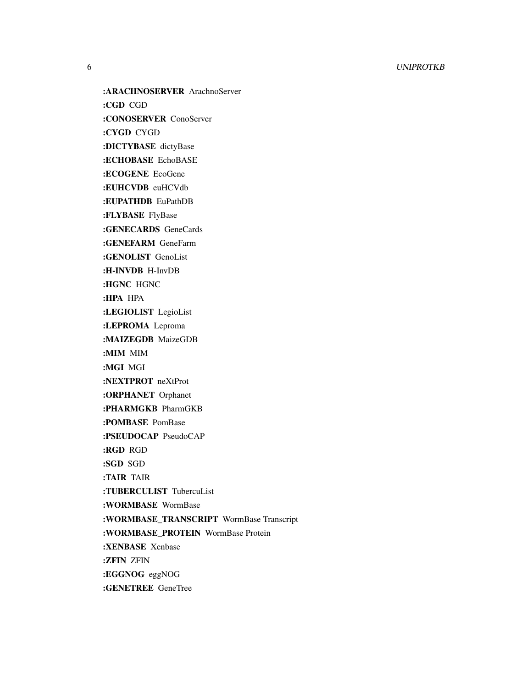:ARACHNOSERVER ArachnoServer :CGD CGD :CONOSERVER ConoServer :CYGD CYGD :DICTYBASE dictyBase :ECHOBASE EchoBASE :ECOGENE EcoGene :EUHCVDB euHCVdb :EUPATHDB EuPathDB :FLYBASE FlyBase :GENECARDS GeneCards :GENEFARM GeneFarm :GENOLIST GenoList :H-INVDB H-InvDB :HGNC HGNC :HPA HPA :LEGIOLIST LegioList :LEPROMA Leproma :MAIZEGDB MaizeGDB :MIM MIM :MGI MGI :NEXTPROT neXtProt :ORPHANET Orphanet :PHARMGKB PharmGKB :POMBASE PomBase :PSEUDOCAP PseudoCAP :RGD RGD :SGD SGD :TAIR TAIR :TUBERCULIST TubercuList :WORMBASE WormBase :WORMBASE\_TRANSCRIPT WormBase Transcript :WORMBASE\_PROTEIN WormBase Protein

:XENBASE Xenbase

:ZFIN ZFIN

:EGGNOG eggNOG

:GENETREE GeneTree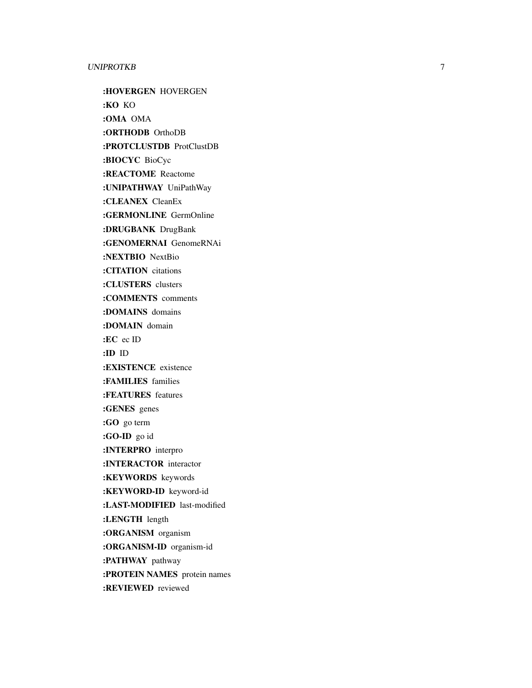#### UNIPROTKB

:HOVERGEN HOVERGEN :KO KO :OMA OMA :ORTHODB OrthoDB

:PROTCLUSTDB ProtClustDB

:BIOCYC BioCyc

:REACTOME Reactome

:UNIPATHWAY UniPathWay

:CLEANEX CleanEx

:GERMONLINE GermOnline

:DRUGBANK DrugBank

:GENOMERNAI GenomeRNAi

:NEXTBIO NextBio

:CITATION citations

:CLUSTERS clusters

:COMMENTS comments

:DOMAINS domains

:DOMAIN domain

:EC ec ID

:ID ID

:EXISTENCE existence

:FAMILIES families

:FEATURES features

:GENES genes

:GO go term

:GO-ID go id

:INTERPRO interpro

:INTERACTOR interactor

:KEYWORDS keywords

:KEYWORD-ID keyword-id

:LAST-MODIFIED last-modified

:LENGTH length

:ORGANISM organism

:ORGANISM-ID organism-id

:PATHWAY pathway

:PROTEIN NAMES protein names

:REVIEWED reviewed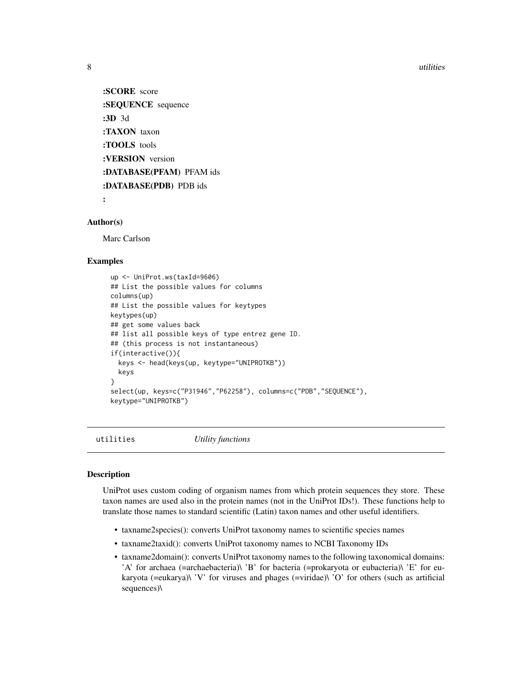8 utilities and the contract of the contract of the contract of the contract of the contract of the contract of the contract of the contract of the contract of the contract of the contract of the contract of the contract o

:SCORE score :SEQUENCE sequence :3D 3d :TAXON taxon :TOOLS tools :VERSION version :DATABASE(PFAM) PFAM ids :DATABASE(PDB) PDB ids

:

#### Author(s)

Marc Carlson

#### Examples

```
up <- UniProt.ws(taxId=9606)
## List the possible values for columns
columns(up)
## List the possible values for keytypes
keytypes(up)
## get some values back
## list all possible keys of type entrez gene ID.
## (this process is not instantaneous)
if(interactive()){
  keys <- head(keys(up, keytype="UNIPROTKB"))
 keys
}
select(up, keys=c("P31946","P62258"), columns=c("PDB","SEQUENCE"),
keytype="UNIPROTKB")
```

```
utilities Utility functions
```
#### Description

UniProt uses custom coding of organism names from which protein sequences they store. These taxon names are used also in the protein names (not in the UniProt IDs!). These functions help to translate those names to standard scientific (Latin) taxon names and other useful identifiers.

- taxname2species(): converts UniProt taxonomy names to scientific species names
- taxname2taxid(): converts UniProt taxonomy names to NCBI Taxonomy IDs
- taxname2domain(): converts UniProt taxonomy names to the following taxonomical domains: 'A' for archaea (=archaebacteria)\ 'B' for bacteria (=prokaryota or eubacteria)\ 'E' for eukaryota (=eukarya)\ 'V' for viruses and phages (=viridae)\ 'O' for others (such as artificial sequences)\

<span id="page-7-0"></span>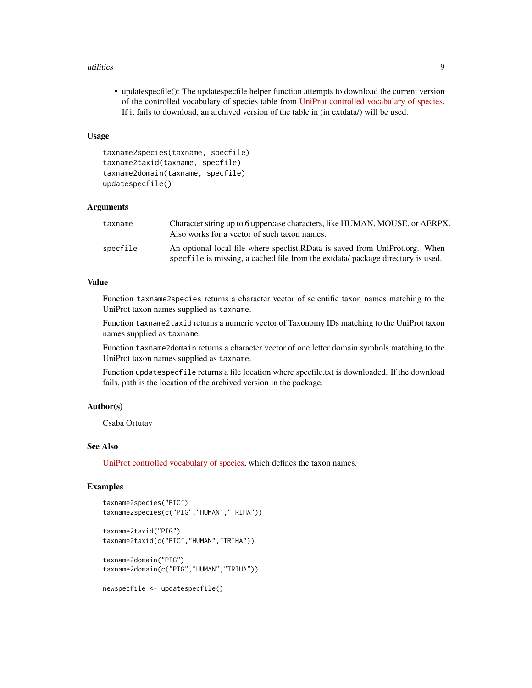#### utilities **9**

• updatespecfile(): The updatespecfile helper function attempts to download the current version of the controlled vocabulary of species table from [UniProt controlled vocabulary of species.](http://www.uniprot.org/docs/speclist) If it fails to download, an archived version of the table in (in extdata/) will be used.

#### Usage

```
taxname2species(taxname, specfile)
taxname2taxid(taxname, specfile)
taxname2domain(taxname, specfile)
updatespecfile()
```
#### Arguments

| taxname  | Character string up to 6 uppercase characters, like HUMAN, MOUSE, or AERPX.<br>Also works for a vector of such taxon names.                                    |
|----------|----------------------------------------------------------------------------------------------------------------------------------------------------------------|
| specfile | An optional local file where speciest.RData is saved from UniProt.org. When<br>specfile is missing, a cached file from the extdata/ package directory is used. |

### Value

Function taxname2species returns a character vector of scientific taxon names matching to the UniProt taxon names supplied as taxname.

Function taxname2taxid returns a numeric vector of Taxonomy IDs matching to the UniProt taxon names supplied as taxname.

Function taxname2domain returns a character vector of one letter domain symbols matching to the UniProt taxon names supplied as taxname.

Function updatespecfile returns a file location where specfile.txt is downloaded. If the download fails, path is the location of the archived version in the package.

#### Author(s)

Csaba Ortutay

#### See Also

[UniProt controlled vocabulary of species,](http://www.uniprot.org/docs/speclist) which defines the taxon names.

#### Examples

```
taxname2species("PIG")
taxname2species(c("PIG","HUMAN","TRIHA"))
taxname2taxid("PIG")
taxname2taxid(c("PIG","HUMAN","TRIHA"))
taxname2domain("PIG")
taxname2domain(c("PIG","HUMAN","TRIHA"))
```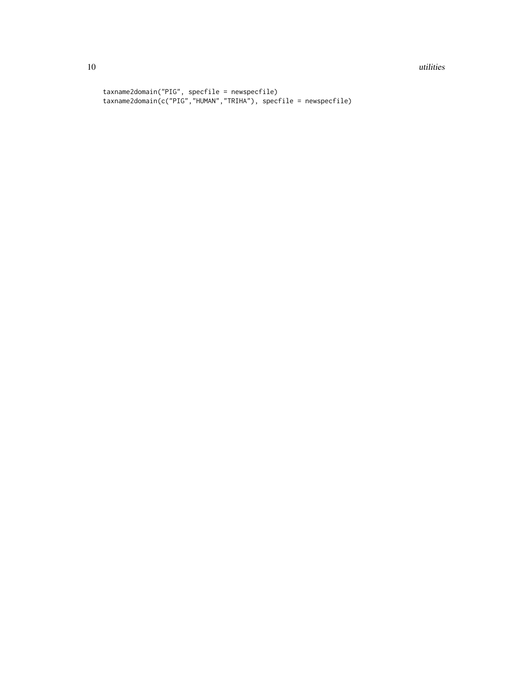#### 10 utilities and the contract of the contract of the contract of the contract of the contract of the contract of the contract of the contract of the contract of the contract of the contract of the contract of the contract

```
taxname2domain("PIG", specfile = newspecfile)
taxname2domain(c("PIG","HUMAN","TRIHA"), specfile = newspecfile)
```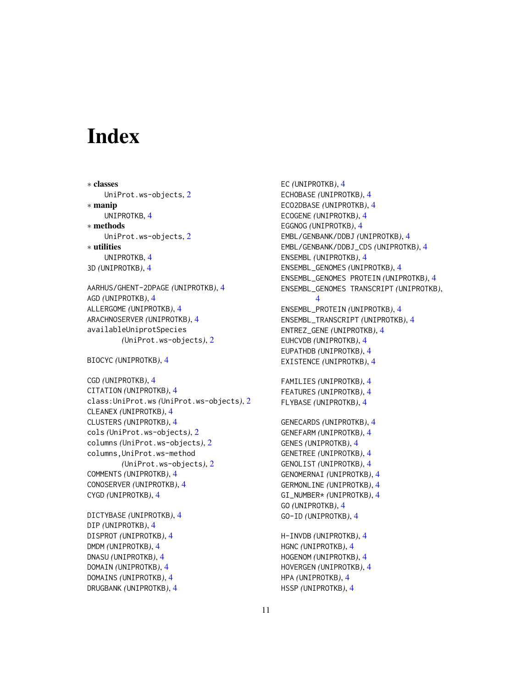# <span id="page-10-0"></span>Index

∗ classes UniProt.ws-objects, [2](#page-1-0) ∗ manip UNIPROTKB, [4](#page-3-0) ∗ methods UniProt.ws-objects, [2](#page-1-0) ∗ utilities UNIPROTKB, [4](#page-3-0) 3D *(*UNIPROTKB*)*, [4](#page-3-0) AARHUS/GHENT-2DPAGE *(*UNIPROTKB*)*, [4](#page-3-0)

```
AGD (UNIPROTKB), 4
ALLERGOME (UNIPROTKB), 4
ARACHNOSERVER (UNIPROTKB), 4
availableUniprotSpecies
        (UniProt.ws-objects), 2
```
BIOCYC *(*UNIPROTKB*)*, [4](#page-3-0)

CGD *(*UNIPROTKB*)*, [4](#page-3-0) CITATION *(*UNIPROTKB*)*, [4](#page-3-0) class:UniProt.ws *(*UniProt.ws-objects*)*, [2](#page-1-0) CLEANEX *(*UNIPROTKB*)*, [4](#page-3-0) CLUSTERS *(*UNIPROTKB*)*, [4](#page-3-0) cols *(*UniProt.ws-objects*)*, [2](#page-1-0) columns *(*UniProt.ws-objects*)*, [2](#page-1-0) columns,UniProt.ws-method *(*UniProt.ws-objects*)*, [2](#page-1-0) COMMENTS *(*UNIPROTKB*)*, [4](#page-3-0) CONOSERVER *(*UNIPROTKB*)*, [4](#page-3-0) CYGD *(*UNIPROTKB*)*, [4](#page-3-0)

DICTYBASE *(*UNIPROTKB*)*, [4](#page-3-0) DIP *(*UNIPROTKB*)*, [4](#page-3-0) DISPROT *(*UNIPROTKB*)*, [4](#page-3-0) DMDM *(*UNIPROTKB*)*, [4](#page-3-0) DNASU *(*UNIPROTKB*)*, [4](#page-3-0) DOMAIN *(*UNIPROTKB*)*, [4](#page-3-0) DOMAINS *(*UNIPROTKB*)*, [4](#page-3-0) DRUGBANK *(*UNIPROTKB*)*, [4](#page-3-0)

EC *(*UNIPROTKB*)*, [4](#page-3-0) ECHOBASE *(*UNIPROTKB*)*, [4](#page-3-0) ECO2DBASE *(*UNIPROTKB*)*, [4](#page-3-0) ECOGENE *(*UNIPROTKB*)*, [4](#page-3-0) EGGNOG *(*UNIPROTKB*)*, [4](#page-3-0) EMBL/GENBANK/DDBJ *(*UNIPROTKB*)*, [4](#page-3-0) EMBL/GENBANK/DDBJ\_CDS *(*UNIPROTKB*)*, [4](#page-3-0) ENSEMBL *(*UNIPROTKB*)*, [4](#page-3-0) ENSEMBL\_GENOMES *(*UNIPROTKB*)*, [4](#page-3-0) ENSEMBL\_GENOMES PROTEIN *(*UNIPROTKB*)*, [4](#page-3-0) ENSEMBL\_GENOMES TRANSCRIPT *(*UNIPROTKB*)*, [4](#page-3-0) ENSEMBL\_PROTEIN *(*UNIPROTKB*)*, [4](#page-3-0) ENSEMBL\_TRANSCRIPT *(*UNIPROTKB*)*, [4](#page-3-0) ENTREZ\_GENE *(*UNIPROTKB*)*, [4](#page-3-0) EUHCVDB *(*UNIPROTKB*)*, [4](#page-3-0) EUPATHDB *(*UNIPROTKB*)*, [4](#page-3-0) EXISTENCE *(*UNIPROTKB*)*, [4](#page-3-0) FAMILIES *(*UNIPROTKB*)*, [4](#page-3-0) FEATURES *(*UNIPROTKB*)*, [4](#page-3-0) FLYBASE *(*UNIPROTKB*)*, [4](#page-3-0) GENECARDS *(*UNIPROTKB*)*, [4](#page-3-0)

GENEFARM *(*UNIPROTKB*)*, [4](#page-3-0) GENES *(*UNIPROTKB*)*, [4](#page-3-0) GENETREE *(*UNIPROTKB*)*, [4](#page-3-0) GENOLIST *(*UNIPROTKB*)*, [4](#page-3-0) GENOMERNAI *(*UNIPROTKB*)*, [4](#page-3-0) GERMONLINE *(*UNIPROTKB*)*, [4](#page-3-0) GI\_NUMBER\* *(*UNIPROTKB*)*, [4](#page-3-0) GO *(*UNIPROTKB*)*, [4](#page-3-0) GO-ID *(*UNIPROTKB*)*, [4](#page-3-0)

H-INVDB *(*UNIPROTKB*)*, [4](#page-3-0) HGNC *(*UNIPROTKB*)*, [4](#page-3-0) HOGENOM *(*UNIPROTKB*)*, [4](#page-3-0) HOVERGEN *(*UNIPROTKB*)*, [4](#page-3-0) HPA *(*UNIPROTKB*)*, [4](#page-3-0) HSSP *(*UNIPROTKB*)*, [4](#page-3-0)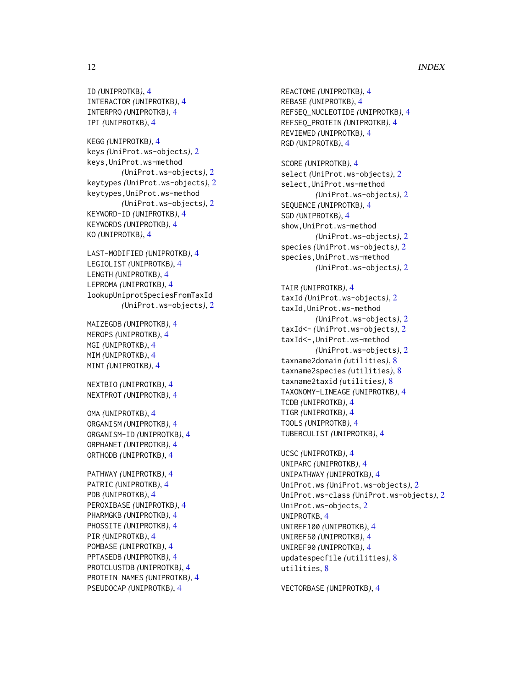#### 12 International contract of the contract of the contract of the contract of the contract of the contract of the contract of the contract of the contract of the contract of the contract of the contract of the contract of t

```
ID (UNIPROTKB), 4
INTERACTOR (UNIPROTKB), 4
INTERPRO (UNIPROTKB), 4
IPI (UNIPROTKB), 4
```
KEGG *(*UNIPROTKB*)*, [4](#page-3-0) keys *(*UniProt.ws-objects*)*, [2](#page-1-0) keys,UniProt.ws-method *(*UniProt.ws-objects*)*, [2](#page-1-0) keytypes *(*UniProt.ws-objects*)*, [2](#page-1-0) keytypes,UniProt.ws-method *(*UniProt.ws-objects*)*, [2](#page-1-0) KEYWORD-ID *(*UNIPROTKB*)*, [4](#page-3-0) KEYWORDS *(*UNIPROTKB*)*, [4](#page-3-0) KO *(*UNIPROTKB*)*, [4](#page-3-0)

LAST-MODIFIED *(*UNIPROTKB*)*, [4](#page-3-0) LEGIOLIST *(*UNIPROTKB*)*, [4](#page-3-0) LENGTH *(*UNIPROTKB*)*, [4](#page-3-0) LEPROMA *(*UNIPROTKB*)*, [4](#page-3-0) lookupUniprotSpeciesFromTaxId *(*UniProt.ws-objects*)*, [2](#page-1-0)

MAIZEGDB *(*UNIPROTKB*)*, [4](#page-3-0) MEROPS *(*UNIPROTKB*)*, [4](#page-3-0) MGI *(*UNIPROTKB*)*, [4](#page-3-0) MIM *(*UNIPROTKB*)*, [4](#page-3-0) MINT *(*UNIPROTKB*)*, [4](#page-3-0)

NEXTBIO *(*UNIPROTKB*)*, [4](#page-3-0) NEXTPROT *(*UNIPROTKB*)*, [4](#page-3-0)

OMA *(*UNIPROTKB*)*, [4](#page-3-0) ORGANISM *(*UNIPROTKB*)*, [4](#page-3-0) ORGANISM-ID *(*UNIPROTKB*)*, [4](#page-3-0) ORPHANET *(*UNIPROTKB*)*, [4](#page-3-0) ORTHODB *(*UNIPROTKB*)*, [4](#page-3-0)

PATHWAY *(*UNIPROTKB*)*, [4](#page-3-0) PATRIC *(*UNIPROTKB*)*, [4](#page-3-0) PDB *(*UNIPROTKB*)*, [4](#page-3-0) PEROXIBASE *(*UNIPROTKB*)*, [4](#page-3-0) PHARMGKB *(*UNIPROTKB*)*, [4](#page-3-0) PHOSSITE *(*UNIPROTKB*)*, [4](#page-3-0) PIR *(*UNIPROTKB*)*, [4](#page-3-0) POMBASE *(*UNIPROTKB*)*, [4](#page-3-0) PPTASEDB *(*UNIPROTKB*)*, [4](#page-3-0) PROTCLUSTDB *(*UNIPROTKB*)*, [4](#page-3-0) PROTEIN NAMES *(*UNIPROTKB*)*, [4](#page-3-0) PSEUDOCAP *(*UNIPROTKB*)*, [4](#page-3-0)

REACTOME *(*UNIPROTKB*)*, [4](#page-3-0) REBASE *(*UNIPROTKB*)*, [4](#page-3-0) REFSEQ\_NUCLEOTIDE *(*UNIPROTKB*)*, [4](#page-3-0) REFSEQ\_PROTEIN *(*UNIPROTKB*)*, [4](#page-3-0) REVIEWED *(*UNIPROTKB*)*, [4](#page-3-0) RGD *(*UNIPROTKB*)*, [4](#page-3-0) SCORE *(*UNIPROTKB*)*, [4](#page-3-0) select *(*UniProt.ws-objects*)*, [2](#page-1-0) select,UniProt.ws-method *(*UniProt.ws-objects*)*, [2](#page-1-0) SEQUENCE *(*UNIPROTKB*)*, [4](#page-3-0) SGD *(*UNIPROTKB*)*, [4](#page-3-0) show,UniProt.ws-method *(*UniProt.ws-objects*)*, [2](#page-1-0) species *(*UniProt.ws-objects*)*, [2](#page-1-0) species,UniProt.ws-method *(*UniProt.ws-objects*)*, [2](#page-1-0) TAIR *(*UNIPROTKB*)*, [4](#page-3-0) taxId *(*UniProt.ws-objects*)*, [2](#page-1-0) taxId,UniProt.ws-method *(*UniProt.ws-objects*)*, [2](#page-1-0) taxId<- *(*UniProt.ws-objects*)*, [2](#page-1-0) taxId<-,UniProt.ws-method *(*UniProt.ws-objects*)*, [2](#page-1-0) taxname2domain *(*utilities*)*, [8](#page-7-0) taxname2species *(*utilities*)*, [8](#page-7-0) taxname2taxid *(*utilities*)*, [8](#page-7-0) TAXONOMY-LINEAGE *(*UNIPROTKB*)*, [4](#page-3-0) TCDB *(*UNIPROTKB*)*, [4](#page-3-0) TIGR *(*UNIPROTKB*)*, [4](#page-3-0) TOOLS *(*UNIPROTKB*)*, [4](#page-3-0) TUBERCULIST *(*UNIPROTKB*)*, [4](#page-3-0) UCSC *(*UNIPROTKB*)*, [4](#page-3-0) UNIPARC *(*UNIPROTKB*)*, [4](#page-3-0) UNIPATHWAY *(*UNIPROTKB*)*, [4](#page-3-0) UniProt.ws *(*UniProt.ws-objects*)*, [2](#page-1-0) UniProt.ws-class *(*UniProt.ws-objects*)*, [2](#page-1-0) UniProt.ws-objects, [2](#page-1-0) UNIPROTKB, [4](#page-3-0)

UNIREF100 *(*UNIPROTKB*)*, [4](#page-3-0) UNIREF50 *(*UNIPROTKB*)*, [4](#page-3-0) UNIREF90 *(*UNIPROTKB*)*, [4](#page-3-0) updatespecfile *(*utilities*)*, [8](#page-7-0) utilities, [8](#page-7-0)

VECTORBASE *(*UNIPROTKB*)*, [4](#page-3-0)